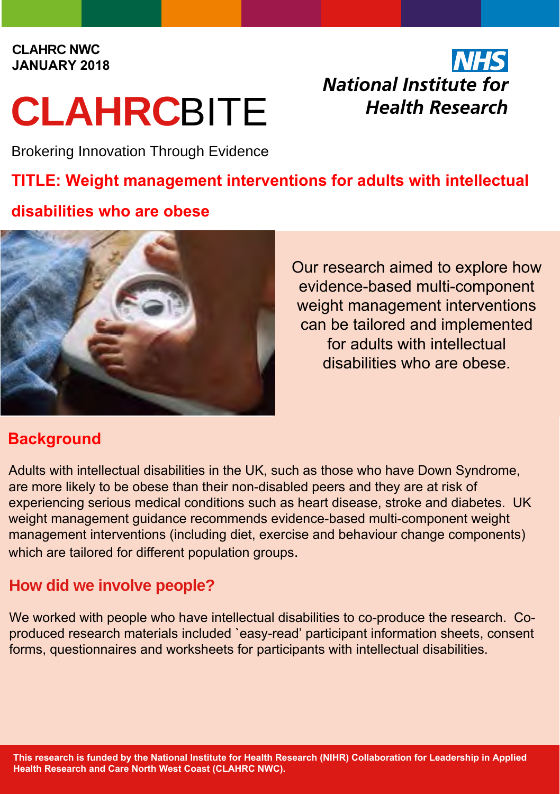#### **CLAHRC NWC JANUARY 2018**

# **CLAHRC**BITE

**NHS National Institute for Health Research** 

Brokering Innovation Through Evidence

# **TITLE: Weight management interventions for adults with intellectual**

## **disabilities who are obese**



Our research aimed to explore how evidence-based multi-component weight management interventions can be tailored and implemented for adults with intellectual disabilities who are obese.

# **Background**

Adults with intellectual disabilities in the UK, such as those who have Down Syndrome, are more likely to be obese than their non-disabled peers and they are at risk of experiencing serious medical conditions such as heart disease, stroke and diabetes. UK weight management guidance recommends evidence-based multi-component weight management interventions (including diet, exercise and behaviour change components) which are tailored for different population groups.

# **How did we involve people?**

We worked with people who have intellectual disabilities to co-produce the research. Coproduced research materials included `easy-read' participant information sheets, consent forms, questionnaires and worksheets for participants with intellectual disabilities.